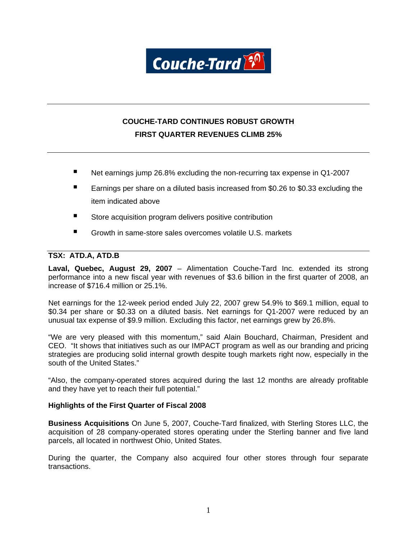

# **COUCHE-TARD CONTINUES ROBUST GROWTH FIRST QUARTER REVENUES CLIMB 25%**

- Net earnings jump 26.8% excluding the non-recurring tax expense in Q1-2007
- Earnings per share on a diluted basis increased from \$0.26 to \$0.33 excluding the item indicated above
- Store acquisition program delivers positive contribution
- Growth in same-store sales overcomes volatile U.S. markets

# **TSX: ATD.A, ATD.B**

**Laval, Quebec, August 29, 2007** – Alimentation Couche-Tard Inc. extended its strong performance into a new fiscal year with revenues of \$3.6 billion in the first quarter of 2008, an increase of \$716.4 million or 25.1%.

Net earnings for the 12-week period ended July 22, 2007 grew 54.9% to \$69.1 million, equal to \$0.34 per share or \$0.33 on a diluted basis. Net earnings for Q1-2007 were reduced by an unusual tax expense of \$9.9 million. Excluding this factor, net earnings grew by 26.8%.

"We are very pleased with this momentum," said Alain Bouchard, Chairman, President and CEO. "It shows that initiatives such as our IMPACT program as well as our branding and pricing strategies are producing solid internal growth despite tough markets right now, especially in the south of the United States."

"Also, the company-operated stores acquired during the last 12 months are already profitable and they have yet to reach their full potential."

# **Highlights of the First Quarter of Fiscal 2008**

**Business Acquisitions** On June 5, 2007, Couche-Tard finalized, with Sterling Stores LLC, the acquisition of 28 company-operated stores operating under the Sterling banner and five land parcels, all located in northwest Ohio, United States.

During the quarter, the Company also acquired four other stores through four separate transactions.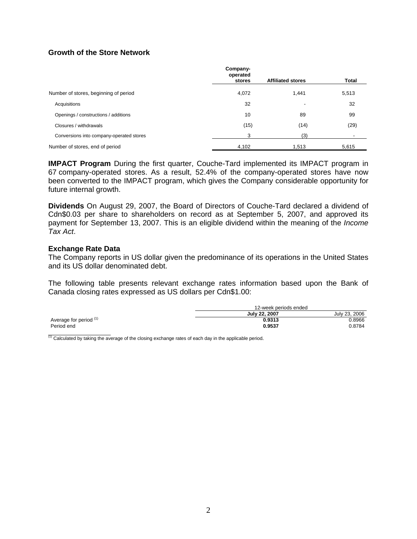# **Growth of the Store Network**

|                                          | Company-<br>operated |                          |       |
|------------------------------------------|----------------------|--------------------------|-------|
|                                          | stores               | <b>Affiliated stores</b> | Total |
| Number of stores, beginning of period    | 4,072                | 1,441                    | 5,513 |
| Acquisitions                             | 32                   |                          | 32    |
| Openings / constructions / additions     | 10                   | 89                       | 99    |
| Closures / withdrawals                   | (15)                 | (14)                     | (29)  |
| Conversions into company-operated stores | 3                    | (3)                      | ٠     |
| Number of stores, end of period          | 4,102                | 1,513                    | 5,615 |

**IMPACT Program** During the first quarter, Couche-Tard implemented its IMPACT program in 67 company-operated stores. As a result, 52.4% of the company-operated stores have now been converted to the IMPACT program, which gives the Company considerable opportunity for future internal growth.

**Dividends** On August 29, 2007, the Board of Directors of Couche-Tard declared a dividend of Cdn\$0.03 per share to shareholders on record as at September 5, 2007, and approved its payment for September 13, 2007. This is an eligible dividend within the meaning of the *Income Tax Act*.

### **Exchange Rate Data**

The Company reports in US dollar given the predominance of its operations in the United States and its US dollar denominated debt.

The following table presents relevant exchange rates information based upon the Bank of Canada closing rates expressed as US dollars per Cdn\$1.00:

|                        | 12-week periods ended |               |
|------------------------|-----------------------|---------------|
|                        | <b>July 22, 2007</b>  | July 23, 2006 |
| Average for period (1) | 0.9313                | 0.8966        |
| Period end             | 0.9537                | 0.8784        |

 $(1)$  Calculated by taking the average of the closing exchange rates of each day in the applicable period.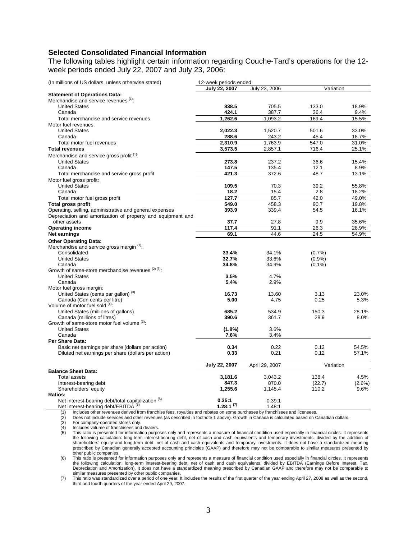## **Selected Consolidated Financial Information**

The following tables highlight certain information regarding Couche-Tard's operations for the 12 week periods ended July 22, 2007 and July 23, 2006:

| (In millions of US dollars, unless otherwise stated)                | 12-week periods ended |                |           |           |
|---------------------------------------------------------------------|-----------------------|----------------|-----------|-----------|
|                                                                     | <b>July 22, 2007</b>  | July 23, 2006  | Variation |           |
| <b>Statement of Operations Data:</b>                                |                       |                |           |           |
| Merchandise and service revenues (1):                               |                       |                |           |           |
| <b>United States</b>                                                | 838.5                 | 705.5          | 133.0     | 18.9%     |
| Canada                                                              | 424.1                 | 387.7          | 36.4      | 9.4%      |
| Total merchandise and service revenues                              | 1,262.6               | 1,093.2        | 169.4     | 15.5%     |
| Motor fuel revenues:                                                |                       |                |           |           |
| <b>United States</b>                                                | 2,022.3               | 1,520.7        | 501.6     | 33.0%     |
| Canada                                                              | 288.6                 | 243.2          | 45.4      | 18.7%     |
| Total motor fuel revenues                                           | 2.310.9               | 1.763.9        | 547.0     | 31.0%     |
| <b>Total revenues</b>                                               | 3,573.5               | 2,857.1        | 716.4     | 25.1%     |
| Merchandise and service gross profit (1).                           |                       |                |           |           |
| <b>United States</b>                                                | 273.8                 | 237.2          | 36.6      | 15.4%     |
| Canada                                                              | 147.5                 | 135.4          | 12.1      | 8.9%      |
| Total merchandise and service gross profit                          | 421.3                 | 372.6          | 48.7      | 13.1%     |
| Motor fuel gross profit:                                            |                       |                |           |           |
| <b>United States</b>                                                | 109.5                 | 70.3           | 39.2      | 55.8%     |
| Canada                                                              | 18.2                  | 15.4           | 2.8       | 18.2%     |
| Total motor fuel gross profit                                       | 127.7                 | 85.7           | 42.0      | 49.0%     |
| <b>Total gross profit</b>                                           | 549.0                 | 458.3          | 90.7      | 19.8%     |
| Operating, selling, administrative and general expenses             | 393.9                 | 339.4          | 54.5      | 16.1%     |
| Depreciation and amortization of property and equipment and         |                       |                |           |           |
| other assets                                                        | 37.7                  | 27.8           | 9.9       | 35.6%     |
| <b>Operating income</b>                                             | 117.4                 | 91.1           | 26.3      | 28.9%     |
| Net earnings                                                        | 69.1                  | 44.6           | 24.5      | 54.9%     |
| <b>Other Operating Data:</b>                                        |                       |                |           |           |
| Merchandise and service gross margin (1).                           |                       |                |           |           |
| Consolidated                                                        | 33.4%                 | 34.1%          | (0.7%     |           |
| <b>United States</b>                                                | 32.7%                 | 33.6%          | (0.9%     |           |
| Canada                                                              | 34.8%                 | 34.9%          | $(0.1\%)$ |           |
| Growth of same-store merchandise revenues (2) (3).                  |                       |                |           |           |
| <b>United States</b>                                                | 3.5%                  | 4.7%           |           |           |
| Canada                                                              | 5.4%                  | 2.9%           |           |           |
| Motor fuel gross margin:                                            |                       |                |           |           |
| United States (cents par gallon) <sup>(3)</sup>                     | 16.73                 | 13.60          | 3.13      | 23.0%     |
| Canada (Cdn cents per litre)                                        | 5.00                  | 4.75           | 0.25      | 5.3%      |
| Volume of motor fuel sold (4).                                      |                       |                |           |           |
| United States (millions of gallons)                                 | 685.2                 | 534.9          | 150.3     | 28.1%     |
| Canada (millions of litres)                                         | 390.6                 | 361.7          | 28.9      | 8.0%      |
| Growth of same-store motor fuel volume (3):<br><b>United States</b> |                       | 3.6%           |           |           |
| Canada                                                              | $(1.8\%)$<br>7.6%     | 3.4%           |           |           |
| Per Share Data:                                                     |                       |                |           |           |
| Basic net earnings per share (dollars per action)                   | 0.34                  | 0.22           | 0.12      | 54.5%     |
| Diluted net earnings per share (dollars per action)                 | 0.33                  | 0.21           | 0.12      | 57.1%     |
|                                                                     |                       |                |           |           |
|                                                                     | <b>July 22, 2007</b>  | April 29, 2007 | Variation |           |
| <b>Balance Sheet Data:</b>                                          |                       |                |           |           |
| <b>Total assets</b>                                                 | 3,181.6               | 3,043.2        | 138.4     | 4.5%      |
| Interest-bearing debt                                               | 847.3                 | 870.0          | (22.7)    | $(2.6\%)$ |
| Shareholders' equity                                                | 1,255.6               | 1,145.4        | 110.2     | 9.6%      |
| Ratios:                                                             |                       |                |           |           |
| Net interest-bearing debt/total capitalization (5)                  | 0.35:1                | 0.39:1         |           |           |
| Net interest-bearing debt/EBITDA <sup>(6)</sup>                     | $1.28:1^{(7)}$        | 1.48:1         |           |           |

(1) Includes other revenues derived from franchise fees, royalties and rebates on some purchases by franchisees and licensees.

(2) Does not include services and other revenues (as described in footnote 1 above). Growth in Canada is calculated based on Canadian dollars.<br>(3) For company-operated stores only.

(3) For company-operated stores only.<br>(4) Includes volume of franchisees and

(4) Includes volume of franchisees and dealers.<br>(5) This ratio is presented for information purpo This ratio is presented for information purposes only and represents a measure of financial condition used especially in financial circles. It represents the following calculation: long-term interest-bearing debt, net of cash and cash equivalents and temporary investments, divided by the addition of shareholders' equity and long-term debt, net of cash and cash equivalents and temporary investments. It does not have a standardized meaning prescribed by Canadian generally accepted accounting principles (GAAP) and therefore may not be comparable to similar measures presented by other public companies.

(6) This ratio is presented for information purposes only and represents a measure of financial condition used especially in financial circles. It represents the following calculation: long-term interest-bearing debt, net of cash and cash equivalents, divided by EBITDA (Earnings Before Interest, Tax,<br>Depreciation and Amortization). It does not have a standardized meaning prescr

similar measures presented by other public companies. (7) This ratio was standardized over a period of one year. It includes the results of the first quarter of the year ending April 27, 2008 as well as the second, third and fourth quarters of the year ended April 29, 2007.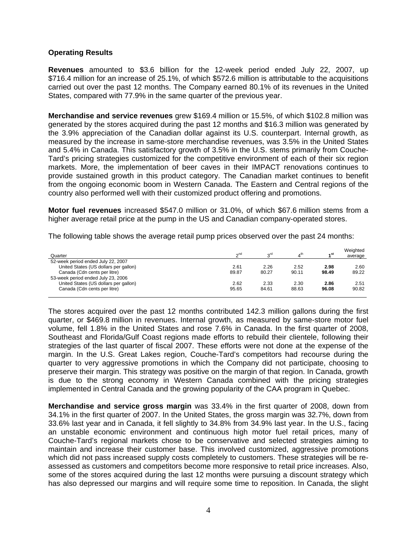# **Operating Results**

**Revenues** amounted to \$3.6 billion for the 12-week period ended July 22, 2007, up \$716.4 million for an increase of 25.1%, of which \$572.6 million is attributable to the acquisitions carried out over the past 12 months. The Company earned 80.1% of its revenues in the United States, compared with 77.9% in the same quarter of the previous year.

**Merchandise and service revenues** grew \$169.4 million or 15.5%, of which \$102.8 million was generated by the stores acquired during the past 12 months and \$16.3 million was generated by the 3.9% appreciation of the Canadian dollar against its U.S. counterpart. Internal growth, as measured by the increase in same-store merchandise revenues, was 3.5% in the United States and 5.4% in Canada. This satisfactory growth of 3.5% in the U.S. stems primarily from Couche-Tard's pricing strategies customized for the competitive environment of each of their six region markets. More, the implementation of beer caves in their IMPACT renovations continues to provide sustained growth in this product category. The Canadian market continues to benefit from the ongoing economic boom in Western Canada. The Eastern and Central regions of the country also performed well with their customized product offering and promotions.

**Motor fuel revenues** increased \$547.0 million or 31.0%, of which \$67.6 million stems from a higher average retail price at the pump in the US and Canadian company-operated stores.

| Quarter                               | $\gamma$ <sup>nd</sup> | ord   | $4^{\text{th}}$ | 4 <sup>st</sup> | Weighted<br>average |
|---------------------------------------|------------------------|-------|-----------------|-----------------|---------------------|
| 52-week period ended July 22, 2007    |                        |       |                 |                 |                     |
| United States (US dollars per gallon) | 2.61                   | 2.26  | 2.52            | 2.98            | 2.60                |
| Canada (Cdn cents per litre)          | 89.87                  | 80.27 | 90.11           | 98.49           | 89.22               |
| 53-week period ended July 23, 2006    |                        |       |                 |                 |                     |
| United States (US dollars per gallon) | 2.62                   | 2.33  | 2.30            | 2.86            | 2.51                |
| Canada (Cdn cents per litre)          | 95.65                  | 84.61 | 88.63           | 96.08           | 90.82               |

The following table shows the average retail pump prices observed over the past 24 months:

The stores acquired over the past 12 months contributed 142.3 million gallons during the first quarter, or \$469.8 million in revenues. Internal growth, as measured by same-store motor fuel volume, fell 1.8% in the United States and rose 7.6% in Canada. In the first quarter of 2008, Southeast and Florida/Gulf Coast regions made efforts to rebuild their clientele, following their strategies of the last quarter of fiscal 2007. These efforts were not done at the expense of the margin. In the U.S. Great Lakes region, Couche-Tard's competitors had recourse during the quarter to very aggressive promotions in which the Company did not participate, choosing to preserve their margin. This strategy was positive on the margin of that region. In Canada, growth is due to the strong economy in Western Canada combined with the pricing strategies implemented in Central Canada and the growing popularity of the CAA program in Quebec.

**Merchandise and service gross margin** was 33.4% in the first quarter of 2008, down from 34.1% in the first quarter of 2007. In the United States, the gross margin was 32.7%, down from 33.6% last year and in Canada, it fell slightly to 34.8% from 34.9% last year. In the U.S., facing an unstable economic environment and continuous high motor fuel retail prices, many of Couche-Tard's regional markets chose to be conservative and selected strategies aiming to maintain and increase their customer base. This involved customized, aggressive promotions which did not pass increased supply costs completely to customers. These strategies will be reassessed as customers and competitors become more responsive to retail price increases. Also, some of the stores acquired during the last 12 months were pursuing a discount strategy which has also depressed our margins and will require some time to reposition. In Canada, the slight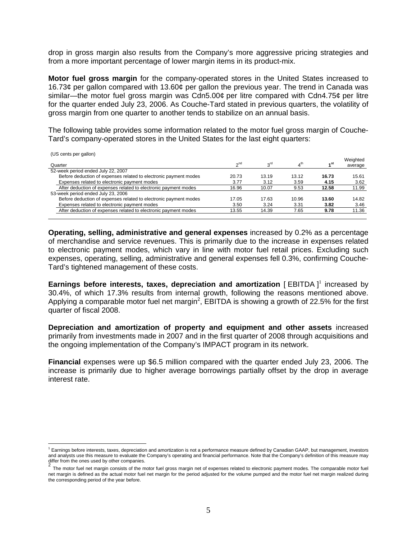drop in gross margin also results from the Company's more aggressive pricing strategies and from a more important percentage of lower margin items in its product-mix.

**Motor fuel gross margin** for the company-operated stores in the United States increased to 16.73¢ per gallon compared with 13.60¢ per gallon the previous year. The trend in Canada was similar—the motor fuel gross margin was Cdn5.00¢ per litre compared with Cdn4.75¢ per litre for the quarter ended July 23, 2006. As Couche-Tard stated in previous quarters, the volatility of gross margin from one quarter to another tends to stabilize on an annual basis.

The following table provides some information related to the motor fuel gross margin of Couche-Tard's company-operated stores in the United States for the last eight quarters:

| (US cents per gallon)<br>Quarter                                 | 2 <sub>nd</sub> | 3 <sup>rd</sup> | 4 <sup>th</sup> | 4 <sup>st</sup> | Weighted<br>average |
|------------------------------------------------------------------|-----------------|-----------------|-----------------|-----------------|---------------------|
| 52-week period ended July 22, 2007                               |                 |                 |                 |                 |                     |
| Before deduction of expenses related to electronic payment modes | 20.73           | 13.19           | 13.12           | 16.73           | 15.61               |
| Expenses related to electronic payment modes                     | 3.77            | 3.12            | 3.59            | 4.15            | 3.62                |
| After deduction of expenses related to electronic payment modes  | 16.96           | 10.07           | 9.53            | 12.58           | 11.99               |
| 53-week period ended July 23, 2006                               |                 |                 |                 |                 |                     |
| Before deduction of expenses related to electronic payment modes | 17.05           | 17.63           | 10.96           | 13.60           | 14.82               |
| Expenses related to electronic payment modes                     | 3.50            | 3.24            | 3.31            | 3.82            | 3.46                |
| After deduction of expenses related to electronic payment modes  | 13.55           | 14.39           | 7.65            | 9.78            | 11.36               |
|                                                                  |                 |                 |                 |                 |                     |

**Operating, selling, administrative and general expenses** increased by 0.2% as a percentage of merchandise and service revenues. This is primarily due to the increase in expenses related to electronic payment modes, which vary in line with motor fuel retail prices. Excluding such expenses, operating, selling, administrative and general expenses fell 0.3%, confirming Couche-Tard's tightened management of these costs.

**Earnings before interests, taxes, depreciation and amortization** [EBITDA]<sup>1</sup> increased by 30.4%, of which 17.3% results from internal growth, following the reasons mentioned above. Applying a comparable motor fuel net margin<sup>2</sup>, EBITDA is showing a growth of 22.5% for the first quarter of fiscal 2008.

**Depreciation and amortization of property and equipment and other assets** increased primarily from investments made in 2007 and in the first quarter of 2008 through acquisitions and the ongoing implementation of the Company's IMPACT program in its network.

**Financial** expenses were up \$6.5 million compared with the quarter ended July 23, 2006. The increase is primarily due to higher average borrowings partially offset by the drop in average interest rate.

 $\overline{a}$ 

<sup>&</sup>lt;sup>1</sup> Earnings before interests, taxes, depreciation and amortization is not a performance measure defined by Canadian GAAP, but management, investors and analysts use this measure to evaluate the Company's operating and financial performance. Note that the Company's definition of this measure may differ from the ones used by other companies.

<sup>2</sup> The motor fuel net margin consists of the motor fuel gross margin net of expenses related to electronic payment modes. The comparable motor fuel net margin is defined as the actual motor fuel net margin for the period adjusted for the volume pumped and the motor fuel net margin realized during the corresponding period of the year before.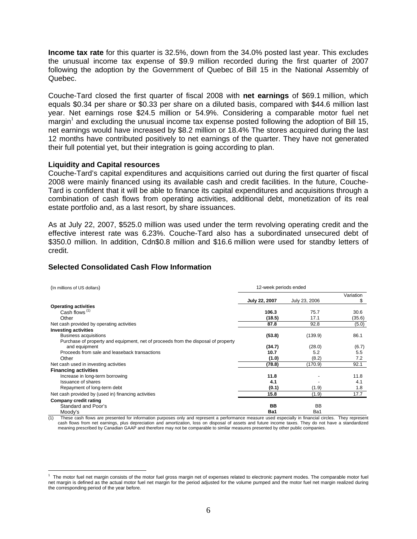**Income tax rate** for this quarter is 32.5%, down from the 34.0% posted last year. This excludes the unusual income tax expense of \$9.9 million recorded during the first quarter of 2007 following the adoption by the Government of Quebec of Bill 15 in the National Assembly of Quebec.

Couche-Tard closed the first quarter of fiscal 2008 with **net earnings** of \$69.1 million, which equals \$0.34 per share or \$0.33 per share on a diluted basis, compared with \$44.6 million last year. Net earnings rose \$24.5 million or 54.9%. Considering a comparable motor fuel net margin<sup>1</sup> and excluding the unusual income tax expense posted following the adoption of Bill 15, net earnings would have increased by \$8.2 million or 18.4% The stores acquired during the last 12 months have contributed positively to net earnings of the quarter. They have not generated their full potential yet, but their integration is going according to plan.

## **Liquidity and Capital resources**

Couche-Tard's capital expenditures and acquisitions carried out during the first quarter of fiscal 2008 were mainly financed using its available cash and credit facilities. In the future, Couche-Tard is confident that it will be able to finance its capital expenditures and acquisitions through a combination of cash flows from operating activities, additional debt, monetization of its real estate portfolio and, as a last resort, by share issuances.

As at July 22, 2007, \$525.0 million was used under the term revolving operating credit and the effective interest rate was 6.23%. Couche-Tard also has a subordinated unsecured debt of \$350.0 million. In addition, Cdn\$0.8 million and \$16.6 million were used for standby letters of credit.

# **Selected Consolidated Cash Flow Information**

| (In millions of US dollars)                                                       | 12-week periods ended |               |           |  |
|-----------------------------------------------------------------------------------|-----------------------|---------------|-----------|--|
|                                                                                   |                       |               | Variation |  |
|                                                                                   | July 22, 2007         | July 23, 2006 | \$        |  |
| <b>Operating activities</b>                                                       |                       |               |           |  |
| Cash flows $(1)$                                                                  | 106.3                 | 75.7          | 30.6      |  |
| Other                                                                             | (18.5)                | 17.1          | (35.6)    |  |
| Net cash provided by operating activities                                         | 87.8                  | 92.8          | (5.0)     |  |
| <b>Investing activities</b>                                                       |                       |               |           |  |
| <b>Business acquisitions</b>                                                      | (53.8)                | (139.9)       | 86.1      |  |
| Purchase of property and equipment, net of proceeds from the disposal of property |                       |               |           |  |
| and equipment                                                                     | (34.7)                | (28.0)        | (6.7)     |  |
| Proceeds from sale and leaseback transactions                                     | 10.7                  | 5.2           | 5.5       |  |
| Other                                                                             | (1.0)                 | (8.2)         | 7.2       |  |
| Net cash used in investing activities                                             | (78.8)                | (170.9)       | 92.1      |  |
| <b>Financing activities</b>                                                       |                       |               |           |  |
| Increase in long-term borrowing                                                   | 11.8                  |               | 11.8      |  |
| Issuance of shares                                                                | 4.1                   |               | 4.1       |  |
| Repayment of long-term debt                                                       | (0.1)                 | (1.9)         | 1.8       |  |
| Net cash provided by (used in) financing activities                               | 15.8                  | (1.9)         | 17.7      |  |
| Company credit rating                                                             |                       |               |           |  |
| Standard and Poor's                                                               | BB                    | <b>BB</b>     |           |  |
| Moody's                                                                           | Ba1                   | Ba1           |           |  |

(1) These cash flows are presented for information purposes only and represent a performance measure used especially in financial circles. They represent cash flows from net earnings, plus depreciation and amortization, loss on disposal of assets and future income taxes. They do not have a standardized meaning prescribed by Canadian GAAP and therefore may not be comparable to similar measures presented by other public companies.

 $\overline{a}$ <sup>1</sup> The motor fuel net margin consists of the motor fuel gross margin net of expenses related to electronic payment modes. The comparable motor fuel net margin is defined as the actual motor fuel net margin for the period adjusted for the volume pumped and the motor fuel net margin realized during the corresponding period of the year before.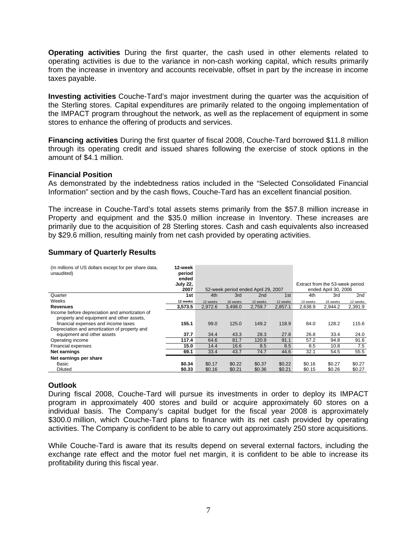**Operating activities** During the first quarter, the cash used in other elements related to operating activities is due to the variance in non-cash working capital, which results primarily from the increase in inventory and accounts receivable, offset in part by the increase in income taxes payable.

**Investing activities** Couche-Tard's major investment during the quarter was the acquisition of the Sterling stores. Capital expenditures are primarily related to the ongoing implementation of the IMPACT program throughout the network, as well as the replacement of equipment in some stores to enhance the offering of products and services.

**Financing activities** During the first quarter of fiscal 2008, Couche-Tard borrowed \$11.8 million through its operating credit and issued shares following the exercise of stock options in the amount of \$4.1 million.

# **Financial Position**

As demonstrated by the indebtedness ratios included in the "Selected Consolidated Financial Information" section and by the cash flows, Couche-Tard has an excellent financial position.

The increase in Couche-Tard's total assets stems primarily from the \$57.8 million increase in Property and equipment and the \$35.0 million increase in Inventory. These increases are primarily due to the acquisition of 28 Sterling stores. Cash and cash equivalents also increased by \$29.6 million, resulting mainly from net cash provided by operating activities.

# **Summary of Quarterly Results**

| (In millions of US dollars except for per share data,<br>unaudited)                        | 12-week<br>period |          |          |                                     |          |          |                                 |          |
|--------------------------------------------------------------------------------------------|-------------------|----------|----------|-------------------------------------|----------|----------|---------------------------------|----------|
|                                                                                            | ended             |          |          |                                     |          |          |                                 |          |
|                                                                                            | <b>July 22,</b>   |          |          |                                     |          |          | Extract from the 53-week period |          |
|                                                                                            | 2007              |          |          | 52-week period ended April 29, 2007 |          |          | ended April 30, 2006            |          |
| Quarter                                                                                    | 1st               | 4th      | 3rd      | 2 <sub>nd</sub>                     | 1st      | 4th      | 3rd                             | 2nd      |
| Weeks                                                                                      | 12 weeks          | 12 weeks | 16 weeks | 12 weeks                            | 12 weeks | 13 weeks | 16 weeks                        | 12 weeks |
| <b>Revenues</b>                                                                            | 3.573.5           | 2.972.6  | 3,498.0  | 2,759.7                             | 2,857.1  | 2,638.9  | 2,944.2                         | 2,391.9  |
| Income before depreciation and amortization of<br>property and equipment and other assets, |                   |          |          |                                     |          |          |                                 |          |
| financial expenses and income taxes                                                        | 155.1             | 99.0     | 125.0    | 149.2                               | 118.9    | 84.0     | 128.2                           | 115.6    |
| Depreciation and amortization of property and<br>equipment and other assets                | 37.7              | 34.4     | 43.3     | 28.3                                | 27.8     | 26.8     | 33.4                            | 24.0     |
| Operating income                                                                           | 117.4             | 64.6     | 81.7     | 120.9                               | 91.1     | 57.2     | 94.8                            | 91.6     |
| <b>Financial expenses</b>                                                                  | 15.0              | 14.4     | 16.6     | 8.5                                 | 8.5      | 8.5      | 10.8                            | 7.5      |
| Net earnings                                                                               | 69.1              | 33.4     | 43.7     | 74.7                                | 44.6     | 32.1     | 54.5                            | 55.5     |
| Net earnings per share                                                                     |                   |          |          |                                     |          |          |                                 |          |
| Basic                                                                                      | \$0.34            | \$0.17   | \$0.22   | \$0.37                              | \$0.22   | \$0.16   | \$0.27                          | \$0.27   |
| Diluted                                                                                    | \$0.33            | \$0.16   | \$0.21   | \$0.36                              | \$0.21   | \$0.15   | \$0.26                          | \$0.27   |
|                                                                                            |                   |          |          |                                     |          |          |                                 |          |

# **Outlook**

During fiscal 2008, Couche-Tard will pursue its investments in order to deploy its IMPACT program in approximately 400 stores and build or acquire approximately 60 stores on a individual basis. The Company's capital budget for the fiscal year 2008 is approximately \$300.0 million, which Couche-Tard plans to finance with its net cash provided by operating activities. The Company is confident to be able to carry out approximately 250 store acquisitions.

While Couche-Tard is aware that its results depend on several external factors, including the exchange rate effect and the motor fuel net margin, it is confident to be able to increase its profitability during this fiscal year.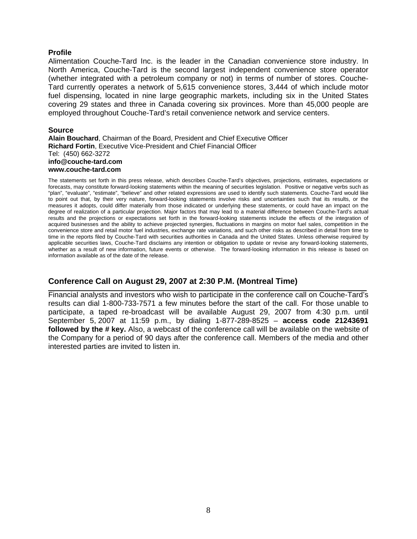# **Profile**

Alimentation Couche-Tard Inc. is the leader in the Canadian convenience store industry. In North America, Couche-Tard is the second largest independent convenience store operator (whether integrated with a petroleum company or not) in terms of number of stores. Couche-Tard currently operates a network of 5,615 convenience stores, 3,444 of which include motor fuel dispensing, located in nine large geographic markets, including six in the United States covering 29 states and three in Canada covering six provinces. More than 45,000 people are employed throughout Couche-Tard's retail convenience network and service centers.

### **Source**

**Alain Bouchard**, Chairman of the Board, President and Chief Executive Officer **Richard Fortin**, Executive Vice-President and Chief Financial Officer Tel: (450) 662-3272 **info@couche-tard.com www.couche-tard.com** 

The statements set forth in this press release, which describes Couche-Tard's objectives, projections, estimates, expectations or forecasts, may constitute forward-looking statements within the meaning of securities legislation. Positive or negative verbs such as "plan", "evaluate", "estimate", "believe" and other related expressions are used to identify such statements. Couche-Tard would like to point out that, by their very nature, forward-looking statements involve risks and uncertainties such that its results, or the measures it adopts, could differ materially from those indicated or underlying these statements, or could have an impact on the degree of realization of a particular projection. Major factors that may lead to a material difference between Couche-Tard's actual results and the projections or expectations set forth in the forward-looking statements include the effects of the integration of acquired businesses and the ability to achieve projected synergies, fluctuations in margins on motor fuel sales, competition in the convenience store and retail motor fuel industries, exchange rate variations, and such other risks as described in detail from time to time in the reports filed by Couche-Tard with securities authorities in Canada and the United States. Unless otherwise required by applicable securities laws, Couche-Tard disclaims any intention or obligation to update or revise any forward-looking statements, whether as a result of new information, future events or otherwise. The forward-looking information in this release is based on information available as of the date of the release.

# **Conference Call on August 29, 2007 at 2:30 P.M. (Montreal Time)**

Financial analysts and investors who wish to participate in the conference call on Couche-Tard's results can dial 1-800-733-7571 a few minutes before the start of the call. For those unable to participate, a taped re-broadcast will be available August 29, 2007 from 4:30 p.m. until September 5, 2007 at 11:59 p.m., by dialing 1-877-289-8525 – **access code 21243691 followed by the # key.** Also, a webcast of the conference call will be available on the website of the Company for a period of 90 days after the conference call. Members of the media and other interested parties are invited to listen in.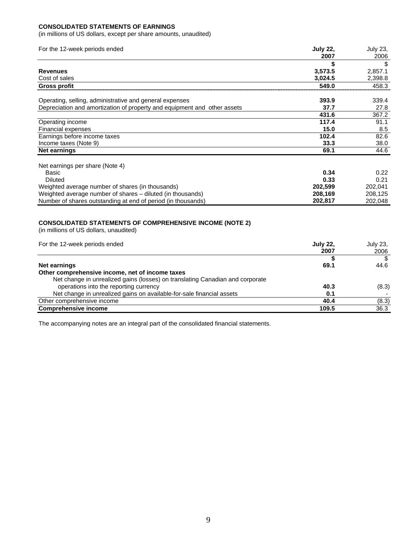### **CONSOLIDATED STATEMENTS OF EARNINGS**

(in millions of US dollars, except per share amounts, unaudited)

| For the 12-week periods ended                                            | <b>July 22.</b><br>2007 | <b>July 23,</b><br>2006 |
|--------------------------------------------------------------------------|-------------------------|-------------------------|
|                                                                          | \$                      | \$                      |
| <b>Revenues</b>                                                          | 3,573.5                 | 2,857.1                 |
| Cost of sales                                                            | 3,024.5                 | 2,398.8                 |
| Gross profit                                                             | 549.0                   | 458.3                   |
|                                                                          |                         |                         |
| Operating, selling, administrative and general expenses                  | 393.9                   | 339.4                   |
| Depreciation and amortization of property and equipment and other assets | 37.7                    | 27.8                    |
|                                                                          | 431.6                   | 367.2                   |
| Operating income                                                         | 117.4                   | 91.1                    |
| <b>Financial expenses</b>                                                | 15.0                    | 8.5                     |
| Earnings before income taxes                                             | 102.4                   | 82.6                    |
| Income taxes (Note 9)                                                    | 33.3                    | 38.0                    |
| <b>Net earnings</b>                                                      | 69.1                    | 44.6                    |
| Net earnings per share (Note 4)                                          |                         |                         |
| Basic                                                                    | 0.34                    | 0.22                    |
| <b>Diluted</b>                                                           | 0.33                    | 0.21                    |
| Weighted average number of shares (in thousands)                         | 202,599                 | 202,041                 |
| Weighted average number of shares - diluted (in thousands)               | 208,169                 | 208,125                 |
| Number of shares outstanding at end of period (in thousands)             | 202,817                 | 202,048                 |
|                                                                          |                         |                         |
|                                                                          |                         |                         |

# **CONSOLIDATED STATEMENTS OF COMPREHENSIVE INCOME (NOTE 2)**

(in millions of US dollars, unaudited)

| For the 12-week periods ended                                                 | <b>July 22,</b><br>2007 | July 23,<br>2006 |
|-------------------------------------------------------------------------------|-------------------------|------------------|
|                                                                               |                         |                  |
| Net earnings                                                                  | 69.1                    | 44.6             |
| Other comprehensive income, net of income taxes                               |                         |                  |
| Net change in unrealized gains (losses) on translating Canadian and corporate |                         |                  |
| operations into the reporting currency                                        | 40.3                    | (8.3)            |
| Net change in unrealized gains on available-for-sale financial assets         | 0.1                     |                  |
| Other comprehensive income                                                    | 40.4                    | (8.3)            |
| <b>Comprehensive income</b>                                                   | 109.5                   | 36.3             |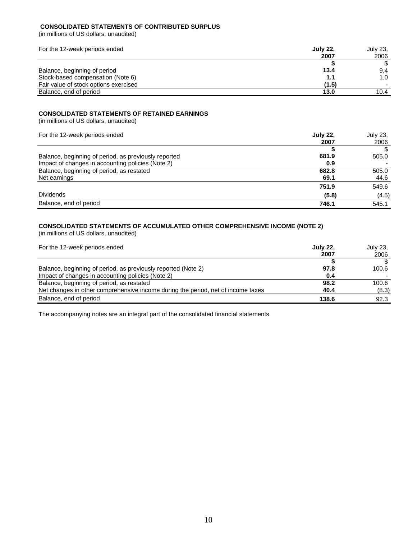### **CONSOLIDATED STATEMENTS OF CONTRIBUTED SURPLUS**

(in millions of US dollars, unaudited)

| For the 12-week periods ended         | <b>July 22,</b> | July 23, |
|---------------------------------------|-----------------|----------|
|                                       | 2007            | 2006     |
|                                       |                 | S.       |
| Balance, beginning of period          | 13.4            | 9.4      |
| Stock-based compensation (Note 6)     | 1.1             | 1.0      |
| Fair value of stock options exercised | (1.5)           |          |
| Balance, end of period                | 13.0            | 10.4     |

### **CONSOLIDATED STATEMENTS OF RETAINED EARNINGS**

(in millions of US dollars, unaudited)

| For the 12-week periods ended                        | <b>July 22.</b> | July 23, |
|------------------------------------------------------|-----------------|----------|
|                                                      | 2007            | 2006     |
|                                                      |                 | \$       |
| Balance, beginning of period, as previously reported | 681.9           | 505.0    |
| Impact of changes in accounting policies (Note 2)    | 0.9             |          |
| Balance, beginning of period, as restated            | 682.8           | 505.0    |
| Net earnings                                         | 69.1            | 44.6     |
|                                                      | 751.9           | 549.6    |
| <b>Dividends</b>                                     | (5.8)           | (4.5)    |
| Balance, end of period                               | 746.1           | 545.1    |

# **CONSOLIDATED STATEMENTS OF ACCUMULATED OTHER COMPREHENSIVE INCOME (NOTE 2)**

(in millions of US dollars, unaudited)

| For the 12-week periods ended                                                    | <b>July 22,</b> | July 23, |
|----------------------------------------------------------------------------------|-----------------|----------|
|                                                                                  | 2007            | 2006     |
|                                                                                  |                 | -SS      |
| Balance, beginning of period, as previously reported (Note 2)                    | 97.8            | 100.6    |
| Impact of changes in accounting policies (Note 2)                                | 0.4             |          |
| Balance, beginning of period, as restated                                        | 98.2            | 100.6    |
| Net changes in other comprehensive income during the period, net of income taxes | 40.4            | (8.3)    |
| Balance, end of period                                                           | 138.6           | 92.3     |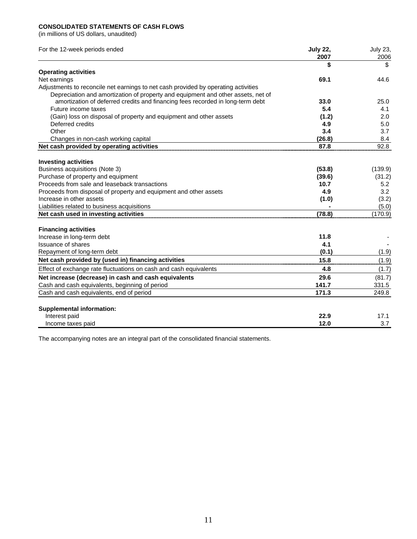### **CONSOLIDATED STATEMENTS OF CASH FLOWS**

(in millions of US dollars, unaudited)

| For the 12-week periods ended                                                          | <b>July 22,</b><br>2007 | <b>July 23,</b><br>2006 |  |
|----------------------------------------------------------------------------------------|-------------------------|-------------------------|--|
|                                                                                        | \$                      | \$                      |  |
| <b>Operating activities</b>                                                            |                         |                         |  |
| Net earnings                                                                           | 69.1                    | 44.6                    |  |
| Adjustments to reconcile net earnings to net cash provided by operating activities     |                         |                         |  |
| Depreciation and amortization of property and equipment and other assets, net of       |                         |                         |  |
| amortization of deferred credits and financing fees recorded in long-term debt         | 33.0                    | 25.0                    |  |
| Future income taxes                                                                    | 5.4                     | 4.1                     |  |
| (Gain) loss on disposal of property and equipment and other assets<br>Deferred credits | (1.2)<br>4.9            | 2.0<br>5.0              |  |
| Other                                                                                  | 3.4                     | 3.7                     |  |
|                                                                                        | (26.8)                  | 8.4                     |  |
| Changes in non-cash working capital<br>Net cash provided by operating activities       | 87.8                    | 92.8                    |  |
|                                                                                        |                         |                         |  |
| <b>Investing activities</b>                                                            |                         |                         |  |
| Business acquisitions (Note 3)                                                         | (53.8)                  | (139.9)                 |  |
| Purchase of property and equipment                                                     | (39.6)                  | (31.2)                  |  |
| Proceeds from sale and leaseback transactions                                          | 10.7                    | 5.2                     |  |
| Proceeds from disposal of property and equipment and other assets                      | 4.9                     | 3.2                     |  |
| Increase in other assets                                                               | (1.0)                   | (3.2)                   |  |
| Liabilities related to business acquisitions                                           |                         | (5.0)                   |  |
| Net cash used in investing activities                                                  | (78.8)                  | (170.9)                 |  |
| <b>Financing activities</b>                                                            |                         |                         |  |
| Increase in long-term debt                                                             | 11.8                    |                         |  |
| Issuance of shares                                                                     | 4.1                     |                         |  |
| Repayment of long-term debt                                                            | (0.1)                   | (1.9)                   |  |
| Net cash provided by (used in) financing activities                                    | 15.8                    | (1.9)                   |  |
| Effect of exchange rate fluctuations on cash and cash equivalents                      | 4.8                     | (1.7)                   |  |
| Net increase (decrease) in cash and cash equivalents                                   | 29.6                    | (81.7)                  |  |
| Cash and cash equivalents, beginning of period                                         | 141.7                   | 331.5                   |  |
| Cash and cash equivalents, end of period                                               | 171.3                   | 249.8                   |  |
|                                                                                        |                         |                         |  |
| <b>Supplemental information:</b><br>Interest paid                                      | 22.9                    | 17.1                    |  |
| Income taxes paid                                                                      | 12.0                    | 3.7                     |  |
|                                                                                        |                         |                         |  |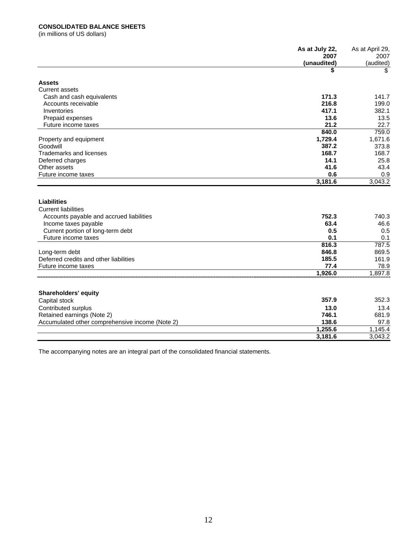### **CONSOLIDATED BALANCE SHEETS**

(in millions of US dollars)

|                                                  | As at July 22,      | As at April 29,   |
|--------------------------------------------------|---------------------|-------------------|
|                                                  | 2007<br>(unaudited) | 2007<br>(audited) |
|                                                  | \$                  | \$                |
| <b>Assets</b>                                    |                     |                   |
| <b>Current assets</b>                            |                     |                   |
| Cash and cash equivalents                        | 171.3               | 141.7             |
| Accounts receivable                              | 216.8               | 199.0             |
| Inventories                                      | 417.1               | 382.1             |
| Prepaid expenses                                 | 13.6                | 13.5              |
| Future income taxes                              | 21.2                | 22.7              |
|                                                  | 840.0               | 759.0             |
| Property and equipment                           | 1,729.4             | 1,671.6           |
| Goodwill                                         | 387.2               | 373.8             |
| <b>Trademarks and licenses</b>                   | 168.7               | 168.7             |
| Deferred charges                                 | 14.1                | 25.8              |
| Other assets                                     | 41.6                | 43.4              |
| Future income taxes                              | 0.6                 | 0.9               |
|                                                  | 3,181.6             | 3,043.2           |
| <b>Liabilities</b><br><b>Current liabilities</b> |                     |                   |
| Accounts payable and accrued liabilities         | 752.3               | 740.3             |
| Income taxes payable                             | 63.4                | 46.6              |
| Current portion of long-term debt                | 0.5                 | 0.5               |
| Future income taxes                              | 0.1                 | 0.1               |
|                                                  | 816.3               | 787.5             |
| Long-term debt                                   | 846.8               | 869.5             |
| Deferred credits and other liabilities           | 185.5               | 161.9             |
| Future income taxes                              | 77.4                | 78.9              |
|                                                  | 1,926.0             | 1,897.8           |
|                                                  |                     |                   |
| <b>Shareholders' equity</b>                      |                     |                   |
| Capital stock                                    | 357.9               | 352.3             |
| Contributed surplus                              | 13.0                | 13.4              |
| Retained earnings (Note 2)                       | 746.1               | 681.9             |
| Accumulated other comprehensive income (Note 2)  | 138.6               | 97.8              |
|                                                  | 1,255.6             | 1,145.4           |
|                                                  | 3,181.6             | 3,043.2           |
|                                                  |                     |                   |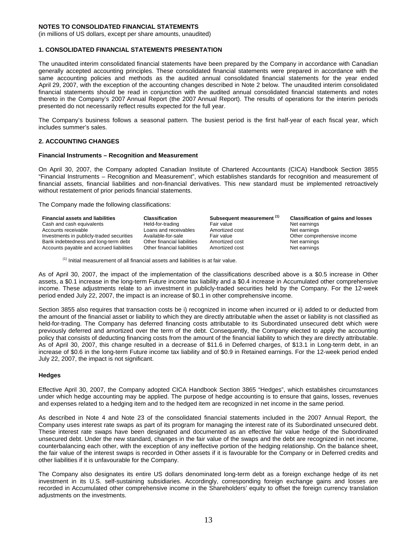(in millions of US dollars, except per share amounts, unaudited)

#### **1. CONSOLIDATED FINANCIAL STATEMENTS PRESENTATION**

The unaudited interim consolidated financial statements have been prepared by the Company in accordance with Canadian generally accepted accounting principles. These consolidated financial statements were prepared in accordance with the same accounting policies and methods as the audited annual consolidated financial statements for the year ended April 29, 2007, with the exception of the accounting changes described in Note 2 below. The unaudited interim consolidated financial statements should be read in conjunction with the audited annual consolidated financial statements and notes thereto in the Company's 2007 Annual Report (the 2007 Annual Report). The results of operations for the interim periods presented do not necessarily reflect results expected for the full year.

The Company's business follows a seasonal pattern. The busiest period is the first half-year of each fiscal year, which includes summer's sales.

#### **2. ACCOUNTING CHANGES**

#### **Financial Instruments – Recognition and Measurement**

On April 30, 2007, the Company adopted Canadian Institute of Chartered Accountants (CICA) Handbook Section 3855 "Financial Instruments – Recognition and Measurement", which establishes standards for recognition and measurement of financial assets, financial liabilities and non-financial derivatives. This new standard must be implemented retroactively without restatement of prior periods financial statements.

The Company made the following classifications:

| <b>Financial assets and liabilities</b>   | <b>Classification</b>       | Subsequent measurement (1) | <b>Classification of gains and losses</b> |
|-------------------------------------------|-----------------------------|----------------------------|-------------------------------------------|
| Cash and cash equivalents                 | Held-for-trading            | Fair value                 | Net earnings                              |
| Accounts receivable                       | Loans and receivables       | Amortized cost             | Net earnings                              |
| Investments in publicly-traded securities | Available-for-sale          | Fair value                 | Other comprehensive income                |
| Bank indebtedness and long-term debt      | Other financial liabilities | Amortized cost             | Net earnings                              |
| Accounts payable and accrued liabilities  | Other financial liabilities | Amortized cost             | Net earnings                              |

 $<sup>(1)</sup>$  Initial measurement of all financial assets and liabilities is at fair value.</sup>

As of April 30, 2007, the impact of the implementation of the classifications described above is a \$0.5 increase in Other assets, a \$0.1 increase in the long-term Future income tax liability and a \$0.4 increase in Accumulated other comprehensive income. These adjustments relate to an investment in publicly-traded securities held by the Company. For the 12-week period ended July 22, 2007, the impact is an increase of \$0.1 in other comprehensive income.

Section 3855 also requires that transaction costs be i) recognized in income when incurred or ii) added to or deducted from the amount of the financial asset or liability to which they are directly attributable when the asset or liability is not classified as held-for-trading. The Company has deferred financing costs attributable to its Subordinated unsecured debt which were previously deferred and amortized over the term of the debt. Consequently, the Company elected to apply the accounting policy that consists of deducting financing costs from the amount of the financial liability to which they are directly attributable. As of April 30, 2007, this change resulted in a decrease of \$11.6 in Deferred charges, of \$13.1 in Long-term debt, in an increase of \$0.6 in the long-term Future income tax liability and of \$0.9 in Retained earnings. For the 12-week period ended July 22, 2007, the impact is not significant.

#### **Hedges**

Effective April 30, 2007, the Company adopted CICA Handbook Section 3865 "Hedges", which establishes circumstances under which hedge accounting may be applied. The purpose of hedge accounting is to ensure that gains, losses, revenues and expenses related to a hedging item and to the hedged item are recognized in net income in the same period.

As described in Note 4 and Note 23 of the consolidated financial statements included in the 2007 Annual Report, the Company uses interest rate swaps as part of its program for managing the interest rate of its Subordinated unsecured debt. These interest rate swaps have been designated and documented as an effective fair value hedge of the Subordinated unsecured debt. Under the new standard, changes in the fair value of the swaps and the debt are recognized in net income, counterbalancing each other, with the exception of any ineffective portion of the hedging relationship. On the balance sheet, the fair value of the interest swaps is recorded in Other assets if it is favourable for the Company or in Deferred credits and other liabilities if it is unfavourable for the Company.

The Company also designates its entire US dollars denominated long-term debt as a foreign exchange hedge of its net investment in its U.S. self-sustaining subsidiaries. Accordingly, corresponding foreign exchange gains and losses are recorded in Accumulated other comprehensive income in the Shareholders' equity to offset the foreign currency translation adjustments on the investments.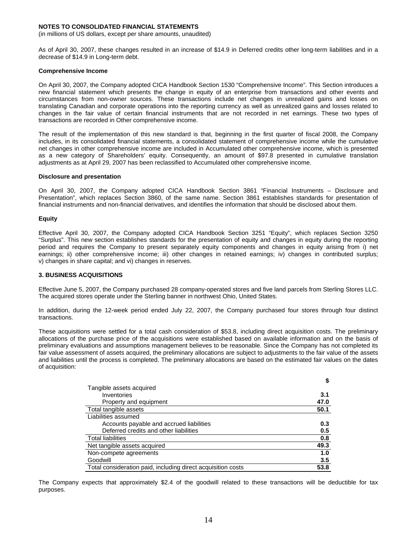(in millions of US dollars, except per share amounts, unaudited)

As of April 30, 2007, these changes resulted in an increase of \$14.9 in Deferred credits other long-term liabilities and in a decrease of \$14.9 in Long-term debt.

#### **Comprehensive Income**

On April 30, 2007, the Company adopted CICA Handbook Section 1530 "Comprehensive Income". This Section introduces a new financial statement which presents the change in equity of an enterprise from transactions and other events and circumstances from non-owner sources. These transactions include net changes in unrealized gains and losses on translating Canadian and corporate operations into the reporting currency as well as unrealized gains and losses related to changes in the fair value of certain financial instruments that are not recorded in net earnings. These two types of transactions are recorded in Other comprehensive income.

The result of the implementation of this new standard is that, beginning in the first quarter of fiscal 2008, the Company includes, in its consolidated financial statements, a consolidated statement of comprehensive income while the cumulative net changes in other comprehensive income are included in Accumulated other comprehensive income, which is presented as a new category of Shareholders' equity. Consequently, an amount of \$97.8 presented in cumulative translation adjustments as at April 29, 2007 has been reclassified to Accumulated other comprehensive income.

#### **Disclosure and presentation**

On April 30, 2007, the Company adopted CICA Handbook Section 3861 "Financial Instruments – Disclosure and Presentation", which replaces Section 3860, of the same name. Section 3861 establishes standards for presentation of financial instruments and non-financial derivatives, and identifies the information that should be disclosed about them.

### **Equity**

Effective April 30, 2007, the Company adopted CICA Handbook Section 3251 "Equity", which replaces Section 3250 "Surplus". This new section establishes standards for the presentation of equity and changes in equity during the reporting period and requires the Company to present separately equity components and changes in equity arising from i) net earnings; ii) other comprehensive income; iii) other changes in retained earnings; iv) changes in contributed surplus; v) changes in share capital; and vi) changes in reserves.

#### **3. BUSINESS ACQUISITIONS**

Effective June 5, 2007, the Company purchased 28 company-operated stores and five land parcels from Sterling Stores LLC. The acquired stores operate under the Sterling banner in northwest Ohio, United States.

In addition, during the 12-week period ended July 22, 2007, the Company purchased four stores through four distinct transactions.

These acquisitions were settled for a total cash consideration of \$53.8, including direct acquisition costs. The preliminary allocations of the purchase price of the acquisitions were established based on available information and on the basis of preliminary evaluations and assumptions management believes to be reasonable. Since the Company has not completed its fair value assessment of assets acquired, the preliminary allocations are subject to adjustments to the fair value of the assets and liabilities until the process is completed. The preliminary allocations are based on the estimated fair values on the dates of acquisition:

|                                                              | \$   |
|--------------------------------------------------------------|------|
| Tangible assets acquired                                     |      |
| Inventories                                                  | 3.1  |
| Property and equipment                                       | 47.0 |
| Total tangible assets                                        | 50.1 |
| Liabilities assumed                                          |      |
| Accounts payable and accrued liabilities                     | 0.3  |
| Deferred credits and other liabilities                       | 0.5  |
| <b>Total liabilities</b>                                     | 0.8  |
| Net tangible assets acquired                                 | 49.3 |
| Non-compete agreements                                       | 1.0  |
| Goodwill                                                     | 3.5  |
| Total consideration paid, including direct acquisition costs | 53.8 |

The Company expects that approximately \$2.4 of the goodwill related to these transactions will be deductible for tax purposes.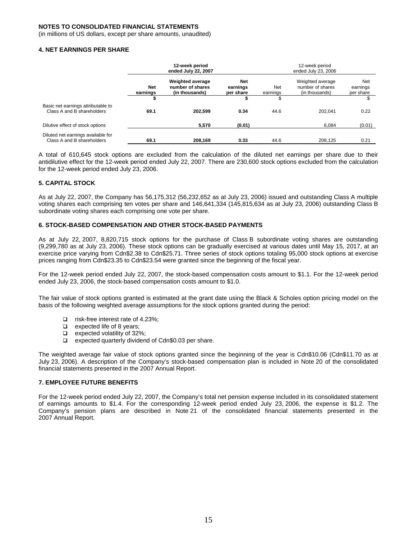(in millions of US dollars, except per share amounts, unaudited)

#### **4. NET EARNINGS PER SHARE**

|                                                                  | 12-week period<br>ended July 22, 2007 |                                                               |                                     | 12-week period<br>ended July 23, 2006 |                                                        |                              |  |
|------------------------------------------------------------------|---------------------------------------|---------------------------------------------------------------|-------------------------------------|---------------------------------------|--------------------------------------------------------|------------------------------|--|
|                                                                  | <b>Net</b><br>earnings                | <b>Weighted average</b><br>number of shares<br>(in thousands) | <b>Net</b><br>earnings<br>per share | Net<br>earnings                       | Weighted average<br>number of shares<br>(in thousands) | Net<br>earnings<br>per share |  |
|                                                                  |                                       |                                                               |                                     |                                       |                                                        | \$                           |  |
| Basic net earnings attributable to<br>Class A and B shareholders | 69.1                                  | 202.599                                                       | 0.34                                | 44.6                                  | 202.041                                                | 0.22                         |  |
| Dilutive effect of stock options                                 |                                       | 5.570                                                         | (0.01)                              |                                       | 6.084                                                  | (0.01)                       |  |
| Diluted net earnings available for<br>Class A and B shareholders | 69.1                                  | 208.169                                                       | 0.33                                | 44.6                                  | 208.125                                                | 0.21                         |  |

A total of 610,645 stock options are excluded from the calculation of the diluted net earnings per share due to their antidilutive effect for the 12-week period ended July 22, 2007. There are 230,600 stock options excluded from the calculation for the 12-week period ended July 23, 2006.

### **5. CAPITAL STOCK**

As at July 22, 2007, the Company has 56,175,312 (56,232,652 as at July 23, 2006) issued and outstanding Class A multiple voting shares each comprising ten votes per share and 146,641,334 (145,815,634 as at July 23, 2006) outstanding Class B subordinate voting shares each comprising one vote per share.

### **6. STOCK-BASED COMPENSATION AND OTHER STOCK-BASED PAYMENTS**

As at July 22, 2007, 8,820,715 stock options for the purchase of Class B subordinate voting shares are outstanding (9,299,780 as at July 23, 2006). These stock options can be gradually exercised at various dates until May 15, 2017, at an exercise price varying from Cdn\$2.38 to Cdn\$25.71. Three series of stock options totaling 95,000 stock options at exercise prices ranging from Cdn\$23.35 to Cdn\$23.54 were granted since the beginning of the fiscal year.

For the 12-week period ended July 22, 2007, the stock-based compensation costs amount to \$1.1. For the 12-week period ended July 23, 2006, the stock-based compensation costs amount to \$1.0.

The fair value of stock options granted is estimated at the grant date using the Black & Scholes option pricing model on the basis of the following weighted average assumptions for the stock options granted during the period:

- risk-free interest rate of 4.23%;
- $\Box$  expected life of 8 years;
- □ expected volatility of 32%;
- □ expected quarterly dividend of Cdn\$0.03 per share.

The weighted average fair value of stock options granted since the beginning of the year is Cdn\$10.06 (Cdn\$11.70 as at July 23, 2006). A description of the Company's stock-based compensation plan is included in Note 20 of the consolidated financial statements presented in the 2007 Annual Report.

#### **7. EMPLOYEE FUTURE BENEFITS**

For the 12-week period ended July 22, 2007, the Company's total net pension expense included in its consolidated statement of earnings amounts to \$1.4. For the corresponding 12-week period ended July 23, 2006, the expense is \$1.2. The Company's pension plans are described in Note 21 of the consolidated financial statements presented in the 2007 Annual Report.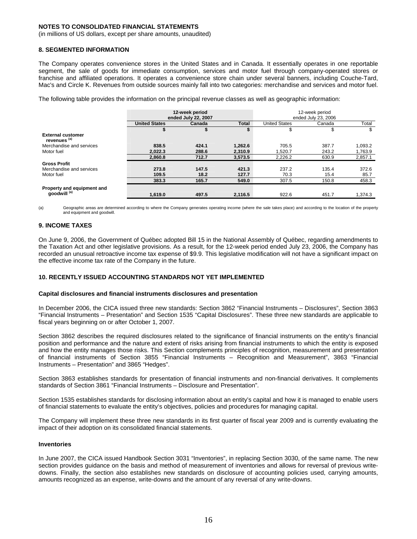(in millions of US dollars, except per share amounts, unaudited)

#### **8. SEGMENTED INFORMATION**

The Company operates convenience stores in the United States and in Canada. It essentially operates in one reportable segment, the sale of goods for immediate consumption, services and motor fuel through company-operated stores or franchise and affiliated operations. It operates a convenience store chain under several banners, including Couche-Tard, Mac's and Circle K. Revenues from outside sources mainly fall into two categories: merchandise and services and motor fuel.

The following table provides the information on the principal revenue classes as well as geographic information:

|                                                     | 12-week period<br>ended July 22, 2007 |        | 12-week period<br>ended July 23, 2006 |                      |        |         |
|-----------------------------------------------------|---------------------------------------|--------|---------------------------------------|----------------------|--------|---------|
|                                                     | <b>United States</b>                  | Canada | <b>Total</b>                          | <b>United States</b> | Canada | Total   |
|                                                     |                                       |        | \$                                    | \$                   |        | S       |
| <b>External customer</b><br>revenues <sup>(a)</sup> |                                       |        |                                       |                      |        |         |
| Merchandise and services                            | 838.5                                 | 424.1  | 1.262.6                               | 705.5                | 387.7  | 1,093.2 |
| Motor fuel                                          | 2.022.3                               | 288.6  | 2.310.9                               | 1.520.7              | 243.2  | 1,763.9 |
|                                                     | 2,860.8                               | 712.7  | 3,573.5                               | 2.226.2              | 630.9  | 2,857.1 |
| <b>Gross Profit</b>                                 |                                       |        |                                       |                      |        |         |
| Merchandise and services                            | 273.8                                 | 147.5  | 421.3                                 | 237.2                | 135.4  | 372.6   |
| Motor fuel                                          | 109.5                                 | 18.2   | 127.7                                 | 70.3                 | 15.4   | 85.7    |
|                                                     | 383.3                                 | 165.7  | 549.0                                 | 307.5                | 150.8  | 458.3   |
| Property and equipment and                          |                                       |        |                                       |                      |        |         |
| goodwill <sup>(a)</sup>                             | 1.619.0                               | 497.5  | 2,116.5                               | 922.6                | 451.7  | 1,374.3 |

(a) Geographic areas are determined according to where the Company generates operating income (where the sale takes place) and according to the location of the property and equipment and goodwill.

### **9. INCOME TAXES**

On June 9, 2006, the Government of Québec adopted Bill 15 in the National Assembly of Québec, regarding amendments to the Taxation Act and other legislative provisions. As a result, for the 12-week period ended July 23, 2006, the Company has recorded an unusual retroactive income tax expense of \$9.9. This legislative modification will not have a significant impact on the effective income tax rate of the Company in the future.

### **10. RECENTLY ISSUED ACCOUNTING STANDARDS NOT YET IMPLEMENTED**

#### **Capital disclosures and financial instruments disclosures and presentation**

In December 2006, the CICA issued three new standards: Section 3862 "Financial Instruments – Disclosures", Section 3863 "Financial Instruments – Presentation" and Section 1535 "Capital Disclosures". These three new standards are applicable to fiscal years beginning on or after October 1, 2007.

Section 3862 describes the required disclosures related to the significance of financial instruments on the entity's financial position and performance and the nature and extent of risks arising from financial instruments to which the entity is exposed and how the entity manages those risks. This Section complements principles of recognition, measurement and presentation of financial instruments of Section 3855 "Financial Instruments – Recognition and Measurement", 3863 "Financial Instruments – Presentation" and 3865 "Hedges".

Section 3863 establishes standards for presentation of financial instruments and non-financial derivatives. It complements standards of Section 3861 "Financial Instruments – Disclosure and Presentation".

Section 1535 establishes standards for disclosing information about an entity's capital and how it is managed to enable users of financial statements to evaluate the entity's objectives, policies and procedures for managing capital.

The Company will implement these three new standards in its first quarter of fiscal year 2009 and is currently evaluating the impact of their adoption on its consolidated financial statements.

#### **Inventories**

In June 2007, the CICA issued Handbook Section 3031 "Inventories", in replacing Section 3030, of the same name. The new section provides guidance on the basis and method of measurement of inventories and allows for reversal of previous writedowns. Finally, the section also establishes new standards on disclosure of accounting policies used, carrying amounts, amounts recognized as an expense, write-downs and the amount of any reversal of any write-downs.